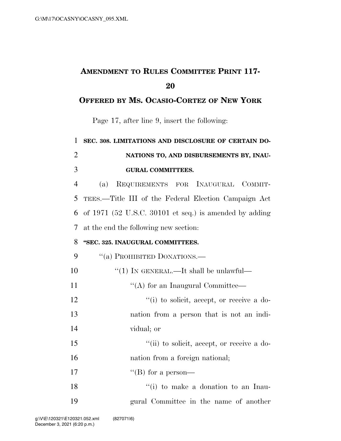## **AMENDMENT TO RULES COMMITTEE PRINT 117- 20**

#### **OFFERED BY MS. OCASIO-CORTEZ OF NEW YORK**

Page 17, after line 9, insert the following:

# 1 **SEC. 308. LIMITATIONS AND DISCLOSURE OF CERTAIN DO-**2 **NATIONS TO, AND DISBURSEMENTS BY, INAU-**3 **GURAL COMMITTEES.**

 (a) REQUIREMENTS FOR INAUGURAL COMMIT- TEES.—Title III of the Federal Election Campaign Act of 1971 (52 U.S.C. 30101 et seq.) is amended by adding at the end the following new section:

#### 8 **''SEC. 325. INAUGURAL COMMITTEES.**

- 9 "(a) PROHIBITED DONATIONS.—
- 10  $\frac{10}{10}$  In GENERAL.—It shall be unlawful— 11  $\text{``(A) for an Inaugural Committee}$ 12  $\frac{1}{2}$   $\frac{1}{2}$   $\frac{1}{2}$  to solicit, accept, or receive a do-13 nation from a person that is not an indi-14 vidual; or 15 ''(ii) to solicit, accept, or receive a do-16 had nation from a foreign national; 17  $"$ (B) for a person—

18 ''(i) to make a donation to an Inau-19 gural Committee in the name of another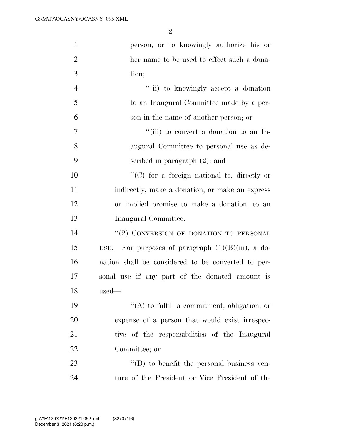| $\mathbf{1}$   | person, or to knowingly authorize his or             |
|----------------|------------------------------------------------------|
| $\overline{2}$ | her name to be used to effect such a dona-           |
| 3              | tion;                                                |
| $\overline{4}$ | "(ii) to knowingly accept a donation                 |
| 5              | to an Inaugural Committee made by a per-             |
| 6              | son in the name of another person; or                |
| 7              | "(iii) to convert a donation to an In-               |
| 8              | augural Committee to personal use as de-             |
| 9              | scribed in paragraph $(2)$ ; and                     |
| 10             | $\lq\lq$ (C) for a foreign national to, directly or  |
| 11             | indirectly, make a donation, or make an express      |
| 12             | or implied promise to make a donation, to an         |
| 13             | Inaugural Committee.                                 |
| 14             | "(2) CONVERSION OF DONATION TO PERSONAL              |
| 15             | USE.—For purposes of paragraph $(1)(B)(iii)$ , a do- |
| 16             | nation shall be considered to be converted to per-   |
| 17             | sonal use if any part of the donated amount is       |
| 18             | $_{\rm used-}$                                       |
| 19             | $\lq\lq$ to fulfill a commitment, obligation, or     |
| 20             | expense of a person that would exist irrespec-       |
| 21             | tive of the responsibilities of the Inaugural        |
| 22             | Committee; or                                        |
| 23             | $\lq\lq (B)$ to benefit the personal business ven-   |
| 24             | ture of the President or Vice President of the       |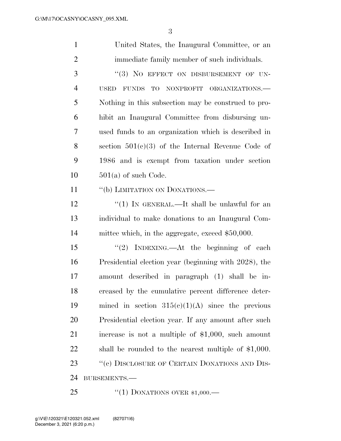| $\mathbf{1}$   | United States, the Inaugural Committee, or an              |
|----------------|------------------------------------------------------------|
| $\overline{2}$ | immediate family member of such individuals.               |
| 3              | "(3) NO EFFECT ON DISBURSEMENT OF UN-                      |
| $\overline{4}$ | <b>USED</b><br><b>FUNDS</b><br>TO NONPROFIT ORGANIZATIONS. |
| 5              | Nothing in this subsection may be construed to pro-        |
| 6              | hibit an Inaugural Committee from disbursing un-           |
| 7              | used funds to an organization which is described in        |
| 8              | section $501(c)(3)$ of the Internal Revenue Code of        |
| 9              | 1986 and is exempt from taxation under section             |
| 10             | $501(a)$ of such Code.                                     |
| 11             | "(b) LIMITATION ON DONATIONS.—                             |
| 12             | "(1) IN GENERAL.—It shall be unlawful for an               |
| 13             | individual to make donations to an Inaugural Com-          |
| 14             | mittee which, in the aggregate, exceed \$50,000.           |
| 15             | "(2) INDEXING.—At the beginning of each                    |
| 16             | Presidential election year (beginning with 2028), the      |
| 17             | amount described in paragraph (1) shall be in-             |
| 18             | creased by the cumulative percent difference deter-        |
| 19             | mined in section $315(e)(1)(A)$ since the previous         |
| 20             | Presidential election year. If any amount after such       |
| 21             | increase is not a multiple of $$1,000$ , such amount       |
| 22             | shall be rounded to the nearest multiple of $$1,000$ .     |
| 23             | "(c) DISCLOSURE OF CERTAIN DONATIONS AND DIS-              |
| 24             | BURSEMENTS.-                                               |
|                |                                                            |

25 "(1) DONATIONS OVER \$1,000.—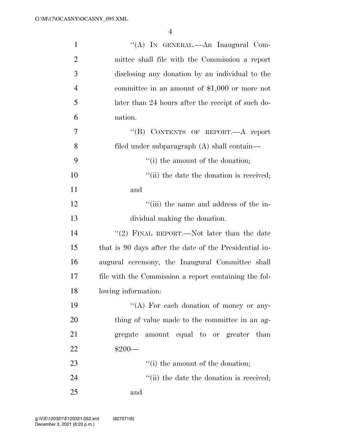| $\mathbf{1}$   | "(A) IN GENERAL.—An Inaugural Com-                     |
|----------------|--------------------------------------------------------|
| $\overline{2}$ | mittee shall file with the Commission a report         |
| 3              | disclosing any donation by an individual to the        |
| $\overline{4}$ | committee in an amount of $$1,000$ or more not         |
| 5              | later than 24 hours after the receipt of such do-      |
| 6              | nation.                                                |
| 7              | "(B) CONTENTS OF REPORT.—A report                      |
| 8              | filed under subparagraph (A) shall contain—            |
| 9              | "(i) the amount of the donation;                       |
| 10             | "(ii) the date the donation is received;               |
| 11             | and                                                    |
| 12             | "(iii) the name and address of the in-                 |
| 13             | dividual making the donation.                          |
| 14             | "(2) FINAL REPORT.—Not later than the date             |
| 15             | that is 90 days after the date of the Presidential in- |
| 16             | augural ceremony, the Inaugural Committee shall        |
| 17             | file with the Commission a report containing the fol-  |
| 18             | lowing information:                                    |
| 19             | "(A) For each donation of money or any-                |
| 20             | thing of value made to the committee in an ag-         |
| 21             | gregate amount equal to or greater than                |
| 22             | $$200-$                                                |
| 23             | "(i) the amount of the donation;                       |
| 24             | "(ii) the date the donation is received;               |
| 25             | and                                                    |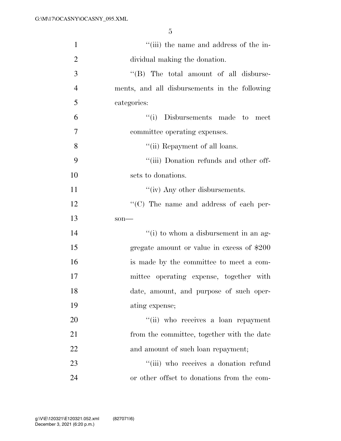| $\mathbf{1}$   | "(iii) the name and address of the in-         |
|----------------|------------------------------------------------|
| $\overline{2}$ | dividual making the donation.                  |
| 3              | $\lq\lq$ (B) The total amount of all disburse- |
| $\overline{4}$ | ments, and all disbursements in the following  |
| 5              | categories:                                    |
| 6              | "(i) Disbursements made to<br>meet             |
| $\tau$         | committee operating expenses.                  |
| 8              | "(ii) Repayment of all loans.                  |
| 9              | "(iii) Donation refunds and other off-         |
| 10             | sets to donations.                             |
| 11             | "(iv) Any other disbursements.                 |
| 12             | $\cdot$ (C) The name and address of each per-  |
| 13             | $son-$                                         |
| 14             | "(i) to whom a disbursement in an ag-          |
| 15             | gregate amount or value in excess of \$200     |
| 16             | is made by the committee to meet a com-        |
| 17             | mittee operating expense, together with        |
| 18             | date, amount, and purpose of such oper-        |
| 19             | ating expense;                                 |
| 20             | "(ii) who receives a loan repayment            |
| 21             | from the committee, together with the date     |
| 22             | and amount of such loan repayment;             |
| 23             | "(iii) who receives a donation refund          |
| 24             | or other offset to donations from the com-     |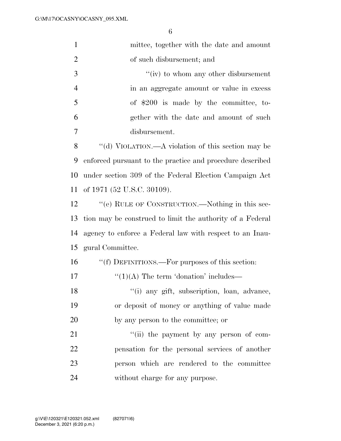| $\mathbf{1}$   | mittee, together with the date and amount                 |
|----------------|-----------------------------------------------------------|
| $\overline{2}$ | of such disbursement; and                                 |
| 3              | $f'(iv)$ to whom any other disbursement                   |
| $\overline{4}$ | in an aggregate amount or value in excess                 |
| 5              | of \$200 is made by the committee, to-                    |
| 6              | gether with the date and amount of such                   |
| 7              | disbursement.                                             |
| 8              | "(d) VIOLATION.—A violation of this section may be        |
| 9              | enforced pursuant to the practice and procedure described |
| 10             | under section 309 of the Federal Election Campaign Act    |
| 11             | of 1971 (52 U.S.C. 30109).                                |
| 12             | "(e) RULE OF CONSTRUCTION.—Nothing in this sec-           |
| 13             | tion may be construed to limit the authority of a Federal |
| 14             | agency to enforce a Federal law with respect to an Inau-  |
| 15             | gural Committee.                                          |
| 16             | "(f) DEFINITIONS.—For purposes of this section:           |
| 17             | $\lq(1)(A)$ The term 'donation' includes—                 |
| 18             | "(i) any gift, subscription, loan, advance,               |
| 19             | or deposit of money or anything of value made             |
| 20             | by any person to the committee; or                        |
| 21             | "(ii) the payment by any person of com-                   |
| 22             | pensation for the personal services of another            |
| 23             | person which are rendered to the committee                |
| 24             | without charge for any purpose.                           |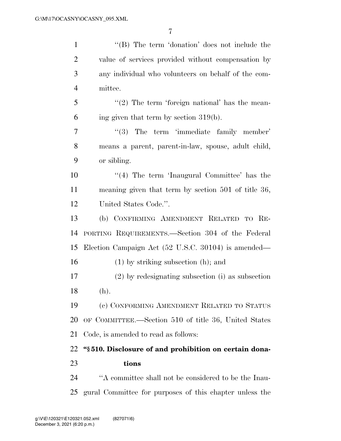| $\mathbf{1}$   | "(B) The term 'donation' does not include the           |
|----------------|---------------------------------------------------------|
| $\overline{2}$ | value of services provided without compensation by      |
| 3              | any individual who volunteers on behalf of the com-     |
| $\overline{4}$ | mittee.                                                 |
| 5              | $\lq(2)$ The term 'foreign national' has the mean-      |
| 6              | ing given that term by section $319(b)$ .               |
| 7              | $\lq(3)$ The term 'immediate family member'             |
| 8              | means a parent, parent-in-law, spouse, adult child,     |
| 9              | or sibling.                                             |
| 10             | $\lq(4)$ The term 'Inaugural Committee' has the         |
| 11             | meaning given that term by section 501 of title 36,     |
| 12             | United States Code.".                                   |
| 13             | (b) CONFIRMING AMENDMENT RELATED TO RE-                 |
| 14             | PORTING REQUIREMENTS.—Section 304 of the Federal        |
| 15             | Election Campaign Act (52 U.S.C. 30104) is amended—     |
| 16             | $(1)$ by striking subsection $(h)$ ; and                |
| 17             | $(2)$ by redesignating subsection (i) as subsection     |
| 18             | (h).                                                    |
| 19             | (c) CONFORMING AMENDMENT RELATED TO STATUS              |
| 20             | OF COMMITTEE.—Section 510 of title 36, United States    |
| 21             | Code, is amended to read as follows:                    |
| 22             | "§510. Disclosure of and prohibition on certain dona-   |
| 23             | tions                                                   |
| 24             | "A committee shall not be considered to be the Inau-    |
| 25             | gural Committee for purposes of this chapter unless the |